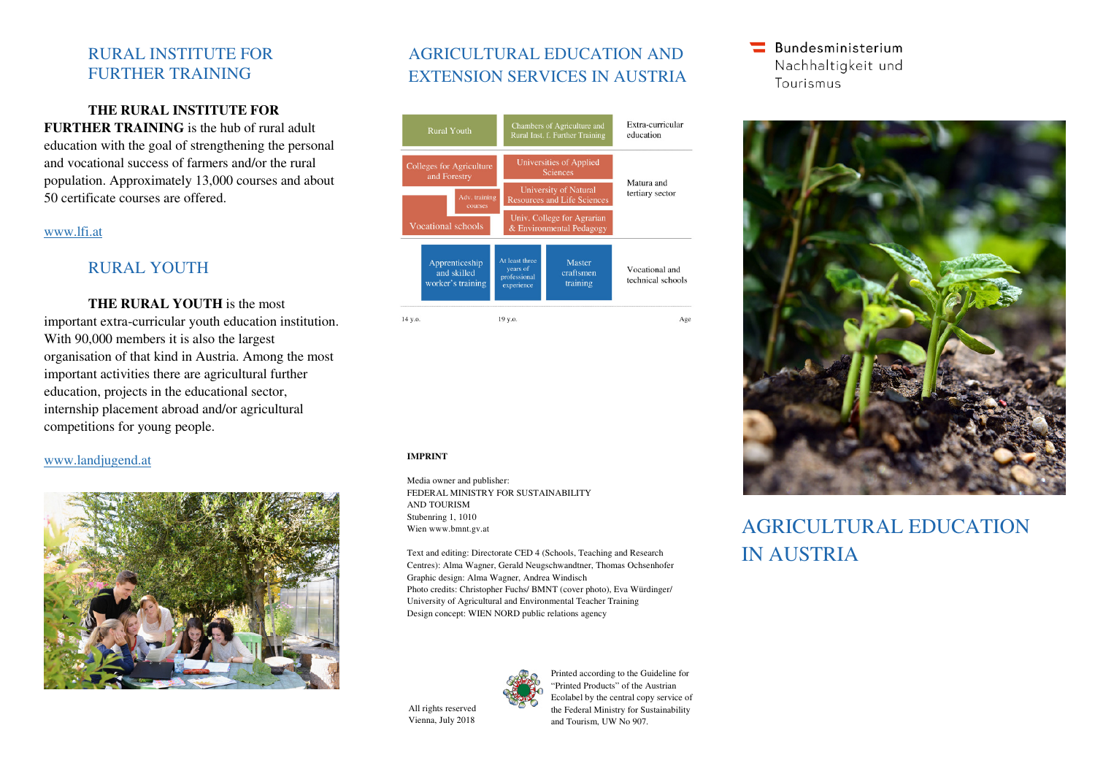### RURAL INSTITUTE FOR FURTHER TRAINING

### **THE RURAL INSTITUTE FOR**

**FURTHER TRAINING** is the hub of rural adult education with the goal of strengthening the personal and vocational success of farmers and/or the rural population. Approximately 13,000 courses and about 50 certificate courses are offered.

#### www.lfi.at

# RURAL YOUTH

**THE RURAL YOUTH** is the most important extra-curricular youth education institution. With 90,000 members it is also the largest organisation of that kind in Austria. Among the most important activities there are agricultural furthereducation, projects in the educational sector, internship placement abroad and/or agricultural competitions for young people.

### www.landjugend.at



# AGRICULTURAL EDUCATION AND EXTENSION SERVICES IN AUSTRIA



#### **IMPRINT**

Media owner and publisher: FEDERAL MINISTRY FOR SUSTAINABILITY AND TOURISM Stubenring 1, 1010 Wien www.bmnt.gv.at

Text and editing: Directorate CED 4 (Schools, Teaching and Research Centres): Alma Wagner, Gerald Neugschwandtner, Thomas Ochsenhofer Graphic design: Alma Wagner, Andrea Windisch Photo credits: Christopher Fuchs/ BMNT (cover photo), Eva Würdinger/ University of Agricultural and Environmental Teacher Training Design concept: WIEN NORD public relations agency



### **Bundesministerium** Nachhaltigkeit und Tourismus



# AGRICULTURAL EDUCATION IN AUSTRIA

All rights reserved Vienna, July 2018